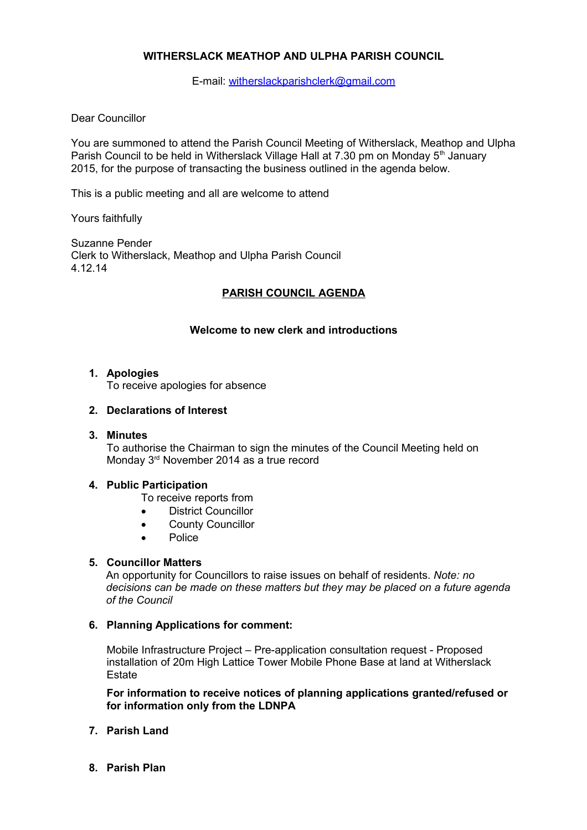# **WITHERSLACK MEATHOP AND ULPHA PARISH COUNCIL**

E-mail: [witherslackparishclerk@gmail.com](mailto:witherslackparishclerk@gmail.com)

### Dear Councillor

You are summoned to attend the Parish Council Meeting of Witherslack, Meathop and Ulpha Parish Council to be held in Witherslack Village Hall at 7.30 pm on Monday  $5<sup>th</sup>$  January 2015, for the purpose of transacting the business outlined in the agenda below.

This is a public meeting and all are welcome to attend

Yours faithfully

Suzanne Pender Clerk to Witherslack, Meathop and Ulpha Parish Council 4.12.14

# **PARISH COUNCIL AGENDA**

# **Welcome to new clerk and introductions**

#### **1. Apologies**

To receive apologies for absence

### **2. Declarations of Interest**

#### **3. Minutes**

To authorise the Chairman to sign the minutes of the Council Meeting held on Monday 3<sup>rd</sup> November 2014 as a true record

#### **4. Public Participation**

- To receive reports from
- **•** District Councillor
- **•** County Councillor
- Police

#### **5. Councillor Matters**

An opportunity for Councillors to raise issues on behalf of residents. *Note: no decisions can be made on these matters but they may be placed on a future agenda of the Council*

#### **6. Planning Applications for comment:**

Mobile Infrastructure Project – Pre-application consultation request - Proposed installation of 20m High Lattice Tower Mobile Phone Base at land at Witherslack **Estate** 

**For information to receive notices of planning applications granted/refused or for information only from the LDNPA**

- **7. Parish Land**
- **8. Parish Plan**